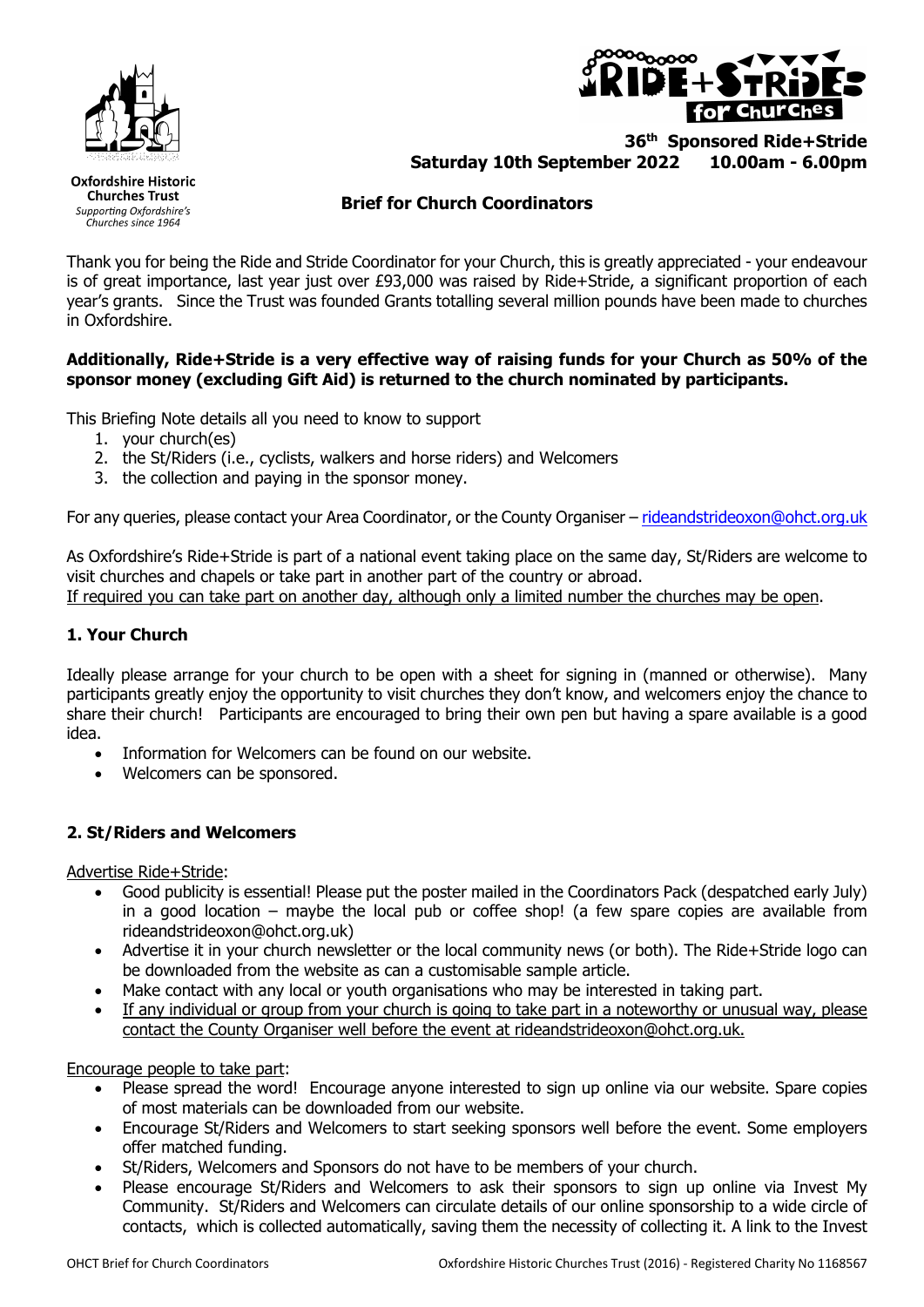



## **36th Sponsored Ride+Stride Saturday 10th September 2022 10.00am - 6.00pm**

**Oxfordshire Historic Churches Trust** Supporting Oxfordshire's Churches since 1964

## **Brief for Church Coordinators**

Thank you for being the Ride and Stride Coordinator for your Church, this is greatly appreciated - your endeavour is of great importance, last year just over £93,000 was raised by Ride+Stride, a significant proportion of each year's grants. Since the Trust was founded Grants totalling several million pounds have been made to churches in Oxfordshire.

### **Additionally, Ride+Stride is a very effective way of raising funds for your Church as 50% of the sponsor money (excluding Gift Aid) is returned to the church nominated by participants.**

This Briefing Note details all you need to know to support

- 1. your church(es)
- 2. the St/Riders (i.e., cyclists, walkers and horse riders) and Welcomers
- 3. the collection and paying in the sponsor money.

For any queries, please contact your Area Coordinator, or the County Organiser – rideandstrideoxon@ohct.org.uk

As Oxfordshire's Ride+Stride is part of a national event taking place on the same day, St/Riders are welcome to visit churches and chapels or take part in another part of the country or abroad. If required you can take part on another day, although only a limited number the churches may be open.

### **1. Your Church**

Ideally please arrange for your church to be open with a sheet for signing in (manned or otherwise). Many participants greatly enjoy the opportunity to visit churches they don't know, and welcomers enjoy the chance to share their church! Participants are encouraged to bring their own pen but having a spare available is a good idea.

- Information for Welcomers can be found on our website.
- Welcomers can be sponsored.

#### **2. St/Riders and Welcomers**

Advertise Ride+Stride:

- Good publicity is essential! Please put the poster mailed in the Coordinators Pack (despatched early July) in a good location – maybe the local pub or coffee shop! (a few spare copies are available from rideandstrideoxon@ohct.org.uk)
- Advertise it in your church newsletter or the local community news (or both). The Ride+Stride logo can be downloaded from the website as can a customisable sample article.
- Make contact with any local or youth organisations who may be interested in taking part.
- If any individual or group from your church is going to take part in a noteworthy or unusual way, please contact the County Organiser well before the event at rideandstrideoxon@ohct.org.uk.

Encourage people to take part:

- Please spread the word! Encourage anyone interested to sign up online via our website. Spare copies of most materials can be downloaded from our website.
- Encourage St/Riders and Welcomers to start seeking sponsors well before the event. Some employers offer matched funding.
- St/Riders, Welcomers and Sponsors do not have to be members of your church.
- Please encourage St/Riders and Welcomers to ask their sponsors to sign up online via Invest My Community. St/Riders and Welcomers can circulate details of our online sponsorship to a wide circle of contacts, which is collected automatically, saving them the necessity of collecting it. A link to the Invest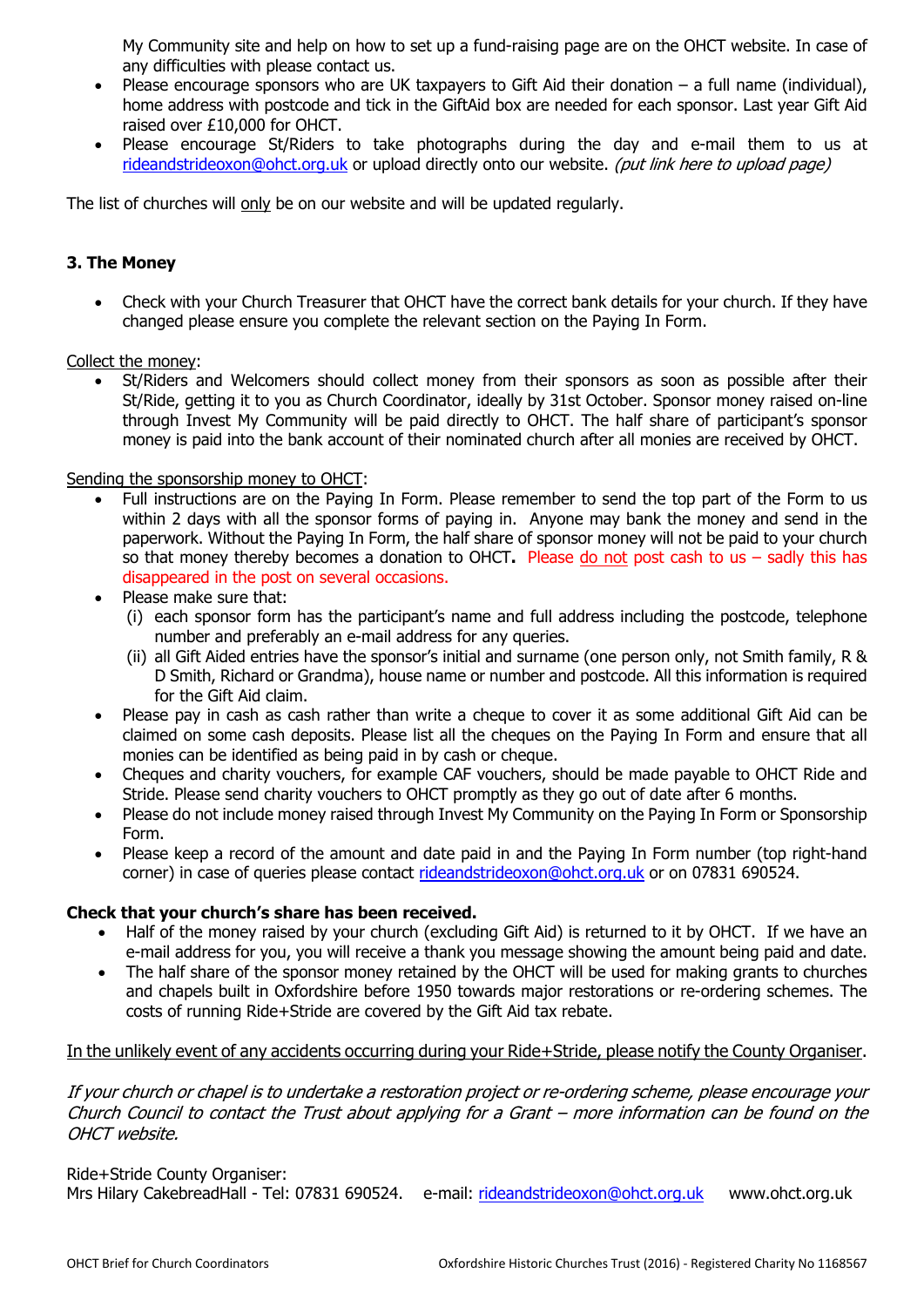My Community site and help on how to set up a fund-raising page are on the OHCT website. In case of any difficulties with please contact us.

- Please encourage sponsors who are UK taxpayers to Gift Aid their donation  $-$  a full name (individual), home address with postcode and tick in the GiftAid box are needed for each sponsor. Last year Gift Aid raised over £10,000 for OHCT.
- Please encourage St/Riders to take photographs during the day and e-mail them to us at rideandstrideoxon@ohct.org.uk or upload directly onto our website. (put link here to upload page)

The list of churches will only be on our website and will be updated regularly.

#### **3. The Money**

• Check with your Church Treasurer that OHCT have the correct bank details for your church. If they have changed please ensure you complete the relevant section on the Paying In Form.

Collect the money:

St/Riders and Welcomers should collect money from their sponsors as soon as possible after their St/Ride, getting it to you as Church Coordinator, ideally by 31st October. Sponsor money raised on-line through Invest My Community will be paid directly to OHCT. The half share of participant's sponsor money is paid into the bank account of their nominated church after all monies are received by OHCT.

#### Sending the sponsorship money to OHCT:

- Full instructions are on the Paying In Form. Please remember to send the top part of the Form to us within 2 days with all the sponsor forms of paying in. Anyone may bank the money and send in the paperwork. Without the Paying In Form, the half share of sponsor money will not be paid to your church so that money thereby becomes a donation to OHCT**.** Please do not post cash to us – sadly this has disappeared in the post on several occasions.
- Please make sure that:
	- (i) each sponsor form has the participant's name and full address including the postcode, telephone number and preferably an e-mail address for any queries.
	- (ii) all Gift Aided entries have the sponsor's initial and surname (one person only, not Smith family, R & D Smith, Richard or Grandma), house name or number and postcode. All this information is required for the Gift Aid claim.
- Please pay in cash as cash rather than write a cheque to cover it as some additional Gift Aid can be claimed on some cash deposits. Please list all the cheques on the Paying In Form and ensure that all monies can be identified as being paid in by cash or cheque.
- Cheques and charity vouchers, for example CAF vouchers, should be made payable to OHCT Ride and Stride. Please send charity vouchers to OHCT promptly as they go out of date after 6 months.
- Please do not include money raised through Invest My Community on the Paying In Form or Sponsorship Form.
- Please keep a record of the amount and date paid in and the Paying In Form number (top right-hand corner) in case of queries please contact rideandstrideoxon@ohct.org.uk or on 07831 690524.

#### **Check that your church's share has been received.**

- Half of the money raised by your church (excluding Gift Aid) is returned to it by OHCT. If we have an e-mail address for you, you will receive a thank you message showing the amount being paid and date.
- The half share of the sponsor money retained by the OHCT will be used for making grants to churches and chapels built in Oxfordshire before 1950 towards major restorations or re-ordering schemes. The costs of running Ride+Stride are covered by the Gift Aid tax rebate.

#### In the unlikely event of any accidents occurring during your Ride+Stride, please notify the County Organiser.

If your church or chapel is to undertake a restoration project or re-ordering scheme, please encourage your Church Council to contact the Trust about applying for a Grant – more information can be found on the OHCT website.

Ride+Stride County Organiser: Mrs Hilary CakebreadHall - Tel: 07831 690524. e-mail: rideandstrideoxon@ohct.org.uk www.ohct.org.uk